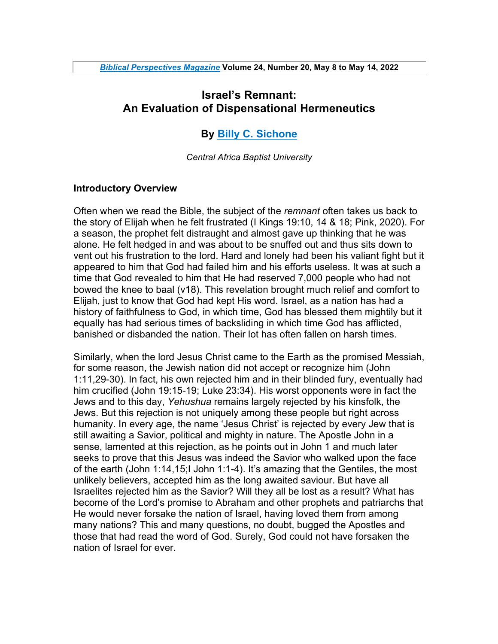# **Israel's Remnant: An Evaluation of Dispensational Hermeneutics**

## **By Billy C. Sichone**

*Central Africa Baptist University*

### **Introductory Overview**

Often when we read the Bible, the subject of the *remnant* often takes us back to the story of Elijah when he felt frustrated (I Kings 19:10, 14 & 18; Pink, 2020). For a season, the prophet felt distraught and almost gave up thinking that he was alone. He felt hedged in and was about to be snuffed out and thus sits down to vent out his frustration to the lord. Hard and lonely had been his valiant fight but it appeared to him that God had failed him and his efforts useless. It was at such a time that God revealed to him that He had reserved 7,000 people who had not bowed the knee to baal (v18). This revelation brought much relief and comfort to Elijah, just to know that God had kept His word. Israel, as a nation has had a history of faithfulness to God, in which time, God has blessed them mightily but it equally has had serious times of backsliding in which time God has afflicted, banished or disbanded the nation. Their lot has often fallen on harsh times.

Similarly, when the lord Jesus Christ came to the Earth as the promised Messiah, for some reason, the Jewish nation did not accept or recognize him (John 1:11,29-30). In fact, his own rejected him and in their blinded fury, eventually had him crucified (John 19:15-19; Luke 23:34). His worst opponents were in fact the Jews and to this day, *Yehushua* remains largely rejected by his kinsfolk, the Jews. But this rejection is not uniquely among these people but right across humanity. In every age, the name 'Jesus Christ' is rejected by every Jew that is still awaiting a Savior, political and mighty in nature. The Apostle John in a sense, lamented at this rejection, as he points out in John 1 and much later seeks to prove that this Jesus was indeed the Savior who walked upon the face of the earth (John 1:14,15;I John 1:1-4). It's amazing that the Gentiles, the most unlikely believers, accepted him as the long awaited saviour. But have all Israelites rejected him as the Savior? Will they all be lost as a result? What has become of the Lord's promise to Abraham and other prophets and patriarchs that He would never forsake the nation of Israel, having loved them from among many nations? This and many questions, no doubt, bugged the Apostles and those that had read the word of God. Surely, God could not have forsaken the nation of Israel for ever.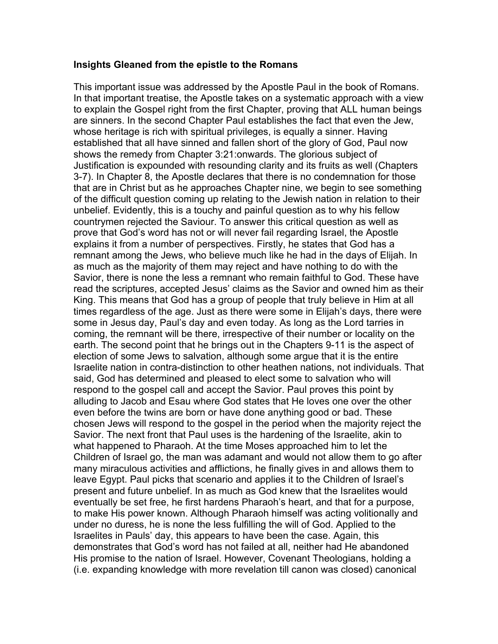### **Insights Gleaned from the epistle to the Romans**

This important issue was addressed by the Apostle Paul in the book of Romans. In that important treatise, the Apostle takes on a systematic approach with a view to explain the Gospel right from the first Chapter, proving that ALL human beings are sinners. In the second Chapter Paul establishes the fact that even the Jew, whose heritage is rich with spiritual privileges, is equally a sinner. Having established that all have sinned and fallen short of the glory of God, Paul now shows the remedy from Chapter 3:21:onwards. The glorious subject of Justification is expounded with resounding clarity and its fruits as well (Chapters 3-7). In Chapter 8, the Apostle declares that there is no condemnation for those that are in Christ but as he approaches Chapter nine, we begin to see something of the difficult question coming up relating to the Jewish nation in relation to their unbelief. Evidently, this is a touchy and painful question as to why his fellow countrymen rejected the Saviour. To answer this critical question as well as prove that God's word has not or will never fail regarding Israel, the Apostle explains it from a number of perspectives. Firstly, he states that God has a remnant among the Jews, who believe much like he had in the days of Elijah. In as much as the majority of them may reject and have nothing to do with the Savior, there is none the less a remnant who remain faithful to God. These have read the scriptures, accepted Jesus' claims as the Savior and owned him as their King. This means that God has a group of people that truly believe in Him at all times regardless of the age. Just as there were some in Elijah's days, there were some in Jesus day, Paul's day and even today. As long as the Lord tarries in coming, the remnant will be there, irrespective of their number or locality on the earth. The second point that he brings out in the Chapters 9-11 is the aspect of election of some Jews to salvation, although some argue that it is the entire Israelite nation in contra-distinction to other heathen nations, not individuals. That said, God has determined and pleased to elect some to salvation who will respond to the gospel call and accept the Savior. Paul proves this point by alluding to Jacob and Esau where God states that He loves one over the other even before the twins are born or have done anything good or bad. These chosen Jews will respond to the gospel in the period when the majority reject the Savior. The next front that Paul uses is the hardening of the Israelite, akin to what happened to Pharaoh. At the time Moses approached him to let the Children of Israel go, the man was adamant and would not allow them to go after many miraculous activities and afflictions, he finally gives in and allows them to leave Egypt. Paul picks that scenario and applies it to the Children of Israel's present and future unbelief. In as much as God knew that the Israelites would eventually be set free, he first hardens Pharaoh's heart, and that for a purpose, to make His power known. Although Pharaoh himself was acting volitionally and under no duress, he is none the less fulfilling the will of God. Applied to the Israelites in Pauls' day, this appears to have been the case. Again, this demonstrates that God's word has not failed at all, neither had He abandoned His promise to the nation of Israel. However, Covenant Theologians, holding a (i.e. expanding knowledge with more revelation till canon was closed) canonical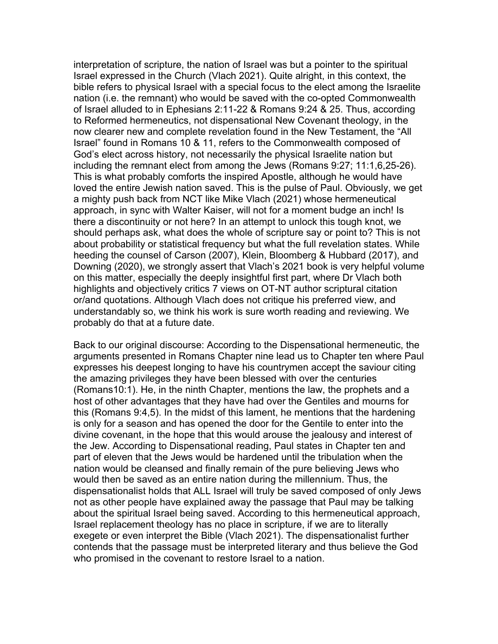interpretation of scripture, the nation of Israel was but a pointer to the spiritual Israel expressed in the Church (Vlach 2021). Quite alright, in this context, the bible refers to physical Israel with a special focus to the elect among the Israelite nation (i.e. the remnant) who would be saved with the co-opted Commonwealth of Israel alluded to in Ephesians 2:11-22 & Romans 9:24 & 25. Thus, according to Reformed hermeneutics, not dispensational New Covenant theology, in the now clearer new and complete revelation found in the New Testament, the "All Israel" found in Romans 10 & 11, refers to the Commonwealth composed of God's elect across history, not necessarily the physical Israelite nation but including the remnant elect from among the Jews (Romans 9:27; 11:1,6,25-26). This is what probably comforts the inspired Apostle, although he would have loved the entire Jewish nation saved. This is the pulse of Paul. Obviously, we get a mighty push back from NCT like Mike Vlach (2021) whose hermeneutical approach, in sync with Walter Kaiser, will not for a moment budge an inch! Is there a discontinuity or not here? In an attempt to unlock this tough knot, we should perhaps ask, what does the whole of scripture say or point to? This is not about probability or statistical frequency but what the full revelation states. While heeding the counsel of Carson (2007), Klein, Bloomberg & Hubbard (2017), and Downing (2020), we strongly assert that Vlach's 2021 book is very helpful volume on this matter, especially the deeply insightful first part, where Dr Vlach both highlights and objectively critics 7 views on OT-NT author scriptural citation or/and quotations. Although Vlach does not critique his preferred view, and understandably so, we think his work is sure worth reading and reviewing. We probably do that at a future date.

Back to our original discourse: According to the Dispensational hermeneutic, the arguments presented in Romans Chapter nine lead us to Chapter ten where Paul expresses his deepest longing to have his countrymen accept the saviour citing the amazing privileges they have been blessed with over the centuries (Romans10:1). He, in the ninth Chapter, mentions the law, the prophets and a host of other advantages that they have had over the Gentiles and mourns for this (Romans 9:4,5). In the midst of this lament, he mentions that the hardening is only for a season and has opened the door for the Gentile to enter into the divine covenant, in the hope that this would arouse the jealousy and interest of the Jew. According to Dispensational reading, Paul states in Chapter ten and part of eleven that the Jews would be hardened until the tribulation when the nation would be cleansed and finally remain of the pure believing Jews who would then be saved as an entire nation during the millennium. Thus, the dispensationalist holds that ALL Israel will truly be saved composed of only Jews not as other people have explained away the passage that Paul may be talking about the spiritual Israel being saved. According to this hermeneutical approach, Israel replacement theology has no place in scripture, if we are to literally exegete or even interpret the Bible (Vlach 2021). The dispensationalist further contends that the passage must be interpreted literary and thus believe the God who promised in the covenant to restore Israel to a nation.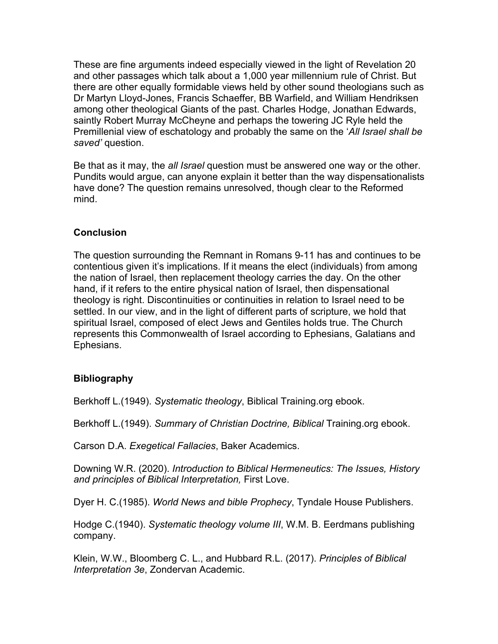These are fine arguments indeed especially viewed in the light of Revelation 20 and other passages which talk about a 1,000 year millennium rule of Christ. But there are other equally formidable views held by other sound theologians such as Dr Martyn Lloyd-Jones, Francis Schaeffer, BB Warfield, and William Hendriksen among other theological Giants of the past. Charles Hodge, Jonathan Edwards, saintly Robert Murray McCheyne and perhaps the towering JC Ryle held the Premillenial view of eschatology and probably the same on the '*All Israel shall be saved'* question.

Be that as it may, the *all Israel* question must be answered one way or the other. Pundits would argue, can anyone explain it better than the way dispensationalists have done? The question remains unresolved, though clear to the Reformed mind.

### **Conclusion**

The question surrounding the Remnant in Romans 9-11 has and continues to be contentious given it's implications. If it means the elect (individuals) from among the nation of Israel, then replacement theology carries the day. On the other hand, if it refers to the entire physical nation of Israel, then dispensational theology is right. Discontinuities or continuities in relation to Israel need to be settled. In our view, and in the light of different parts of scripture, we hold that spiritual Israel, composed of elect Jews and Gentiles holds true. The Church represents this Commonwealth of Israel according to Ephesians, Galatians and Ephesians.

## **Bibliography**

Berkhoff L.(1949). *Systematic theology*, Biblical Training.org ebook.

Berkhoff L.(1949). *Summary of Christian Doctrine, Biblical* Training.org ebook.

Carson D.A. *Exegetical Fallacies*, Baker Academics.

Downing W.R. (2020). *Introduction to Biblical Hermeneutics: The Issues, History and principles of Biblical Interpretation,* First Love.

Dyer H. C.(1985). *World News and bible Prophecy*, Tyndale House Publishers.

Hodge C.(1940). *Systematic theology volume III*, W.M. B. Eerdmans publishing company.

Klein, W.W., Bloomberg C. L., and Hubbard R.L. (2017). *Principles of Biblical Interpretation 3e*, Zondervan Academic.